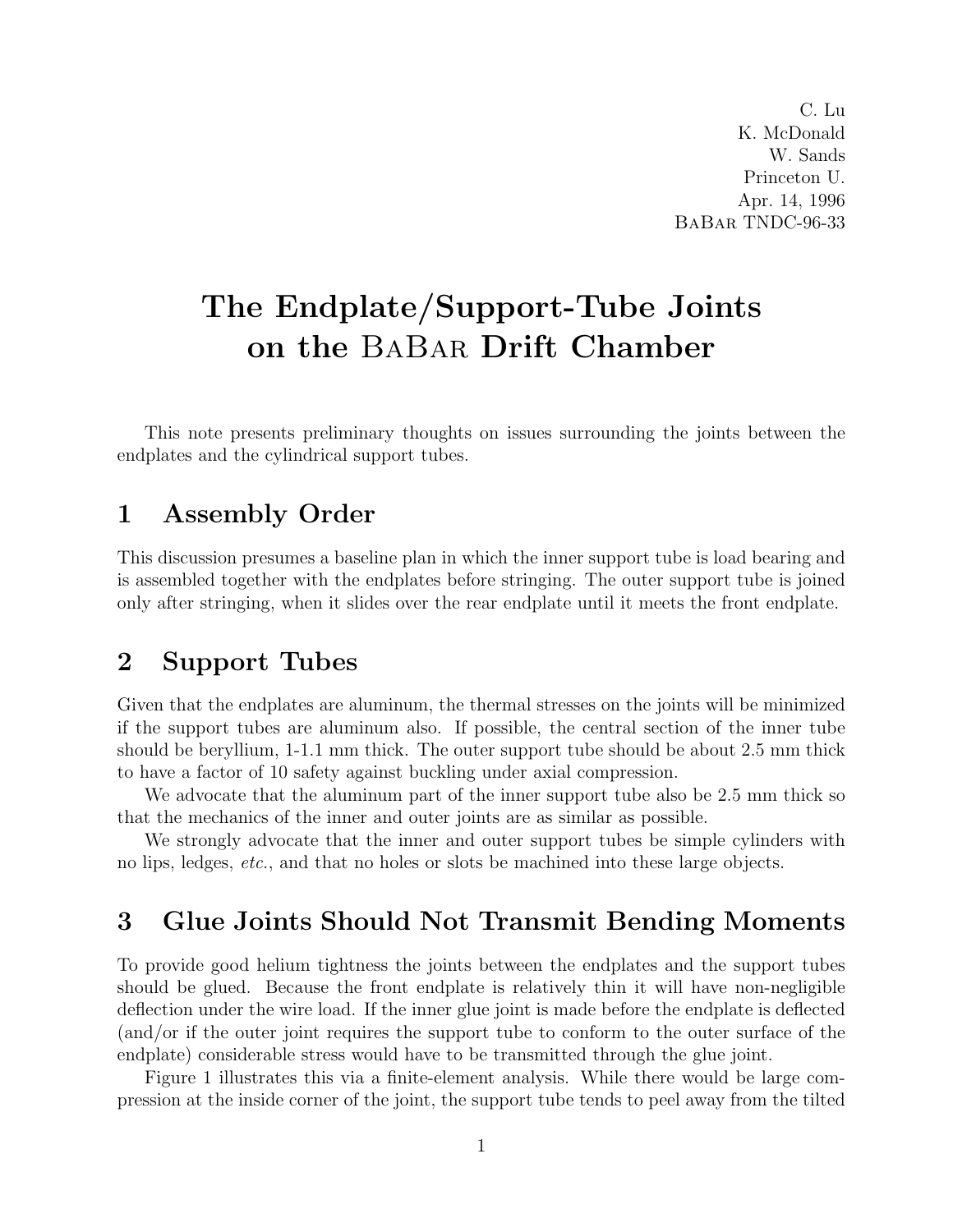C. Lu K. McDonald W. Sands Princeton U. Apr. 14, 1996 BaBar TNDC-96-33

# The Endplate/Support-Tube Joints on the BaBar Drift Chamber

This note presents preliminary thoughts on issues surrounding the joints between the endplates and the cylindrical support tubes.

#### 1 Assembly Order

This discussion presumes a baseline plan in which the inner support tube is load bearing and is assembled together with the endplates before stringing. The outer support tube is joined only after stringing, when it slides over the rear endplate until it meets the front endplate.

### 2 Support Tubes

Given that the endplates are aluminum, the thermal stresses on the joints will be minimized if the support tubes are aluminum also. If possible, the central section of the inner tube should be beryllium, 1-1.1 mm thick. The outer support tube should be about 2.5 mm thick to have a factor of 10 safety against buckling under axial compression.

We advocate that the aluminum part of the inner support tube also be 2.5 mm thick so that the mechanics of the inner and outer joints are as similar as possible.

We strongly advocate that the inner and outer support tubes be simple cylinders with no lips, ledges, etc., and that no holes or slots be machined into these large objects.

# 3 Glue Joints Should Not Transmit Bending Moments

To provide good helium tightness the joints between the endplates and the support tubes should be glued. Because the front endplate is relatively thin it will have non-negligible deflection under the wire load. If the inner glue joint is made before the endplate is deflected (and/or if the outer joint requires the support tube to conform to the outer surface of the endplate) considerable stress would have to be transmitted through the glue joint.

Figure 1 illustrates this via a finite-element analysis. While there would be large compression at the inside corner of the joint, the support tube tends to peel away from the tilted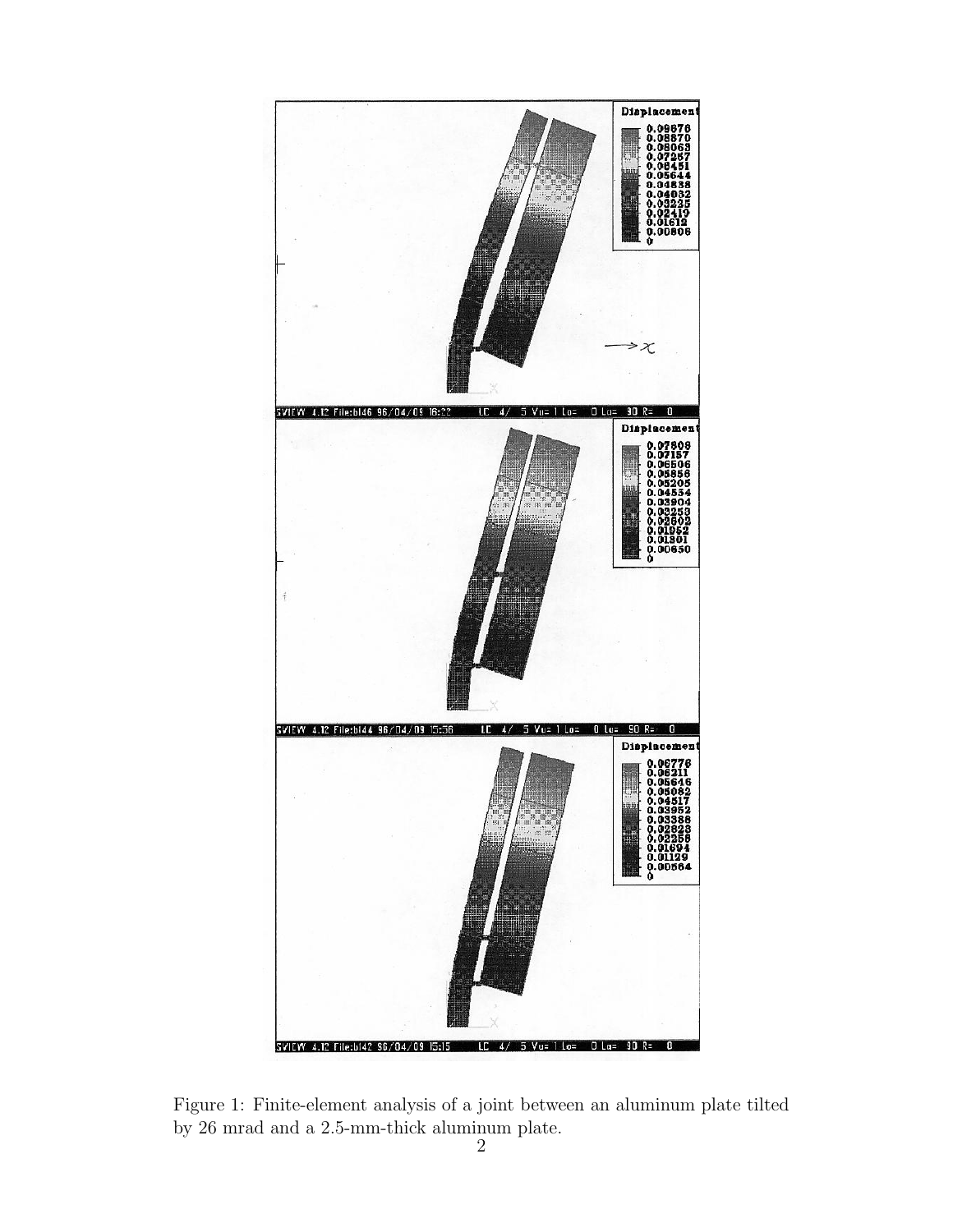

Figure 1: Finite-element analysis of a joint between an aluminum plate tilted by 26 mrad and a 2.5-mm-thick aluminum plate.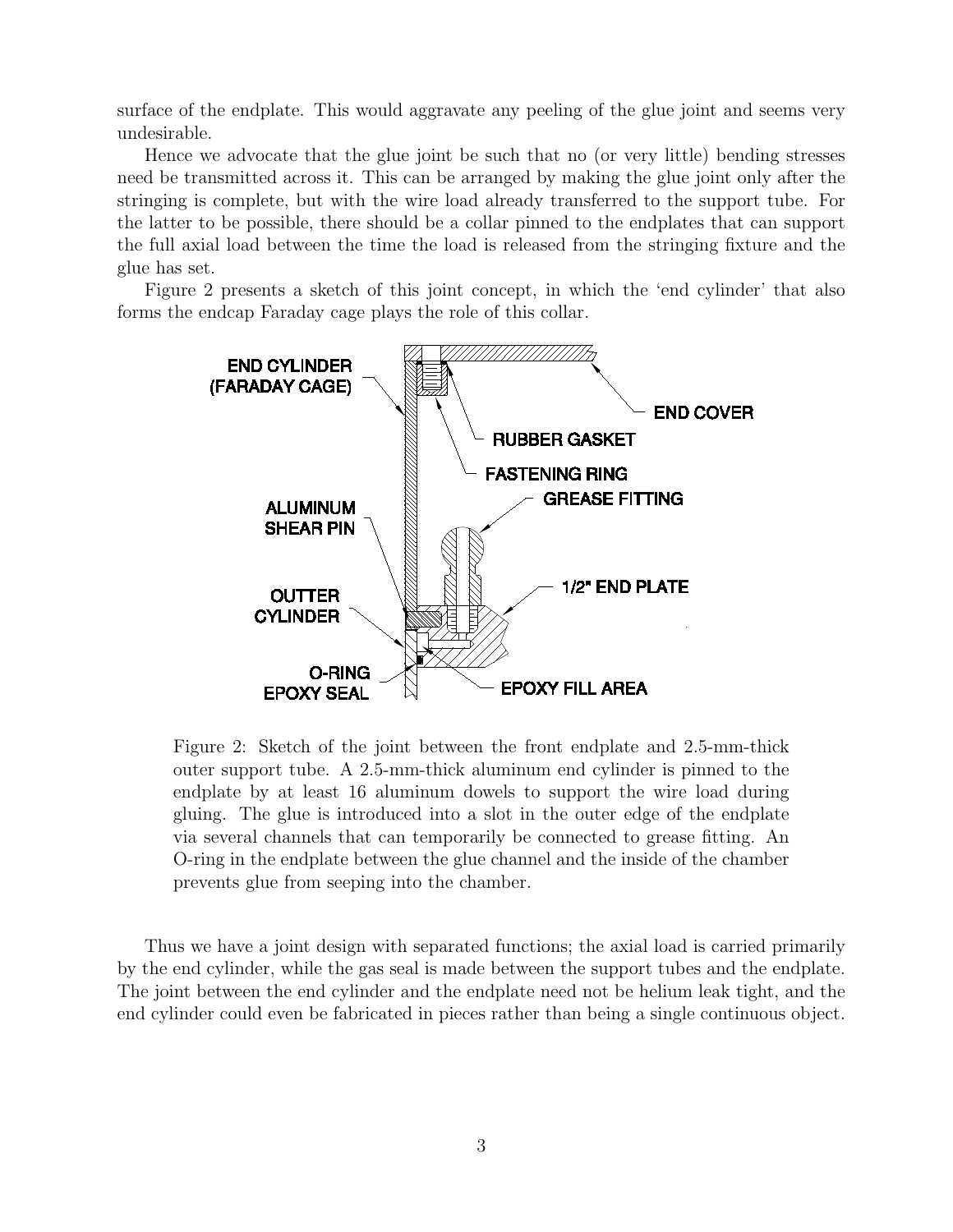surface of the endplate. This would aggravate any peeling of the glue joint and seems very undesirable.

Hence we advocate that the glue joint be such that no (or very little) bending stresses need be transmitted across it. This can be arranged by making the glue joint only after the stringing is complete, but with the wire load already transferred to the support tube. For the latter to be possible, there should be a collar pinned to the endplates that can support the full axial load between the time the load is released from the stringing fixture and the glue has set.

Figure 2 presents a sketch of this joint concept, in which the 'end cylinder' that also forms the endcap Faraday cage plays the role of this collar.



Figure 2: Sketch of the joint between the front endplate and 2.5-mm-thick outer support tube. A 2.5-mm-thick aluminum end cylinder is pinned to the endplate by at least 16 aluminum dowels to support the wire load during gluing. The glue is introduced into a slot in the outer edge of the endplate via several channels that can temporarily be connected to grease fitting. An O-ring in the endplate between the glue channel and the inside of the chamber prevents glue from seeping into the chamber.

Thus we have a joint design with separated functions; the axial load is carried primarily by the end cylinder, while the gas seal is made between the support tubes and the endplate. The joint between the end cylinder and the endplate need not be helium leak tight, and the end cylinder could even be fabricated in pieces rather than being a single continuous object.